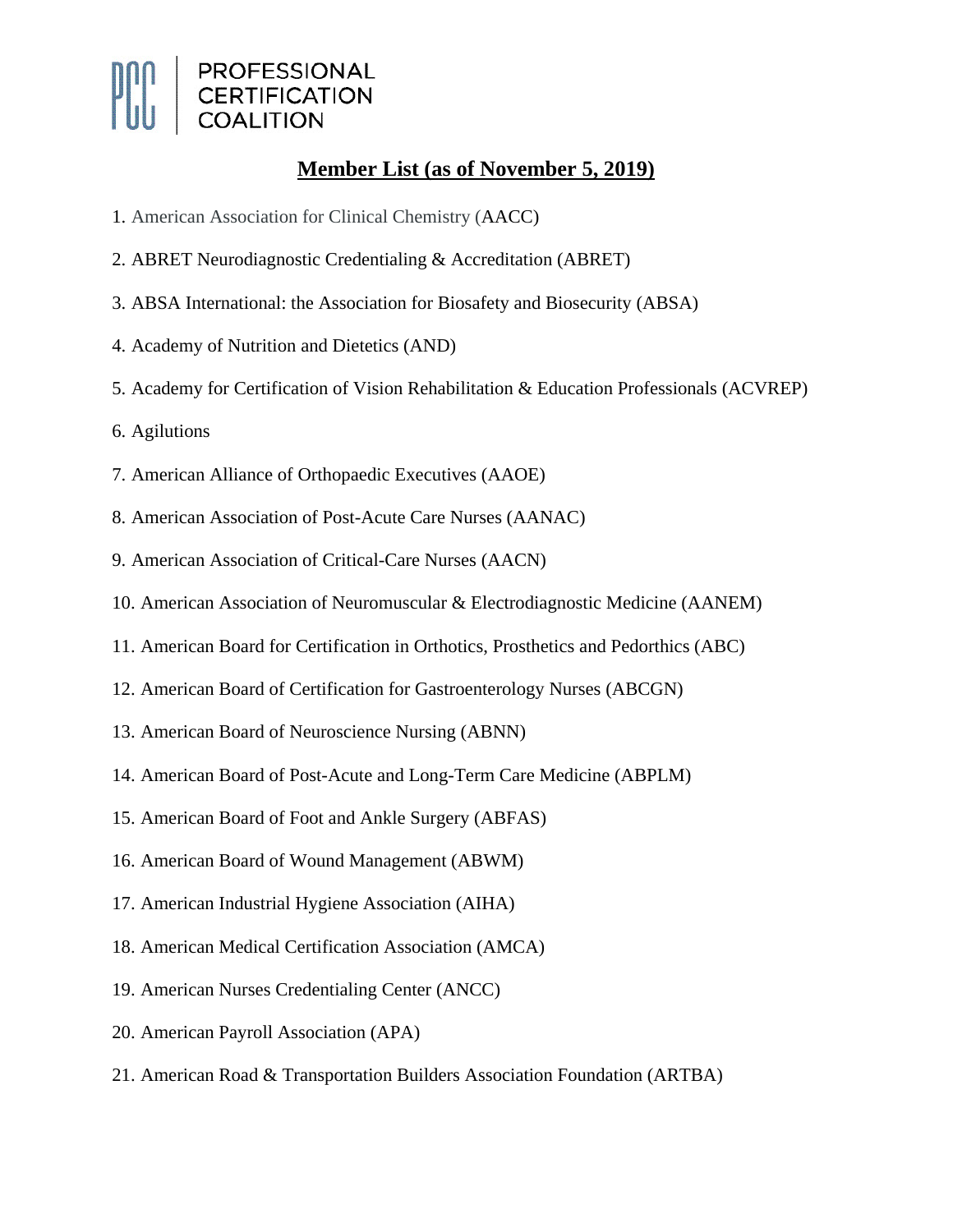

## **Member List (as of November 5, 2019)**

- 1. American Association for Clinical Chemistry (AACC)
- 2. ABRET Neurodiagnostic Credentialing & Accreditation (ABRET)
- 3. ABSA International: the Association for Biosafety and Biosecurity (ABSA)
- 4. Academy of Nutrition and Dietetics (AND)
- 5. Academy for Certification of Vision Rehabilitation & Education Professionals (ACVREP)
- 6. Agilutions
- 7. American Alliance of Orthopaedic Executives (AAOE)
- 8. American Association of Post-Acute Care Nurses (AANAC)
- 9. American Association of Critical-Care Nurses (AACN)
- 10. American Association of Neuromuscular & Electrodiagnostic Medicine (AANEM)
- 11. American Board for Certification in Orthotics, Prosthetics and Pedorthics (ABC)
- 12. American Board of Certification for Gastroenterology Nurses (ABCGN)
- 13. American Board of Neuroscience Nursing (ABNN)
- 14. American Board of Post-Acute and Long-Term Care Medicine (ABPLM)
- 15. American Board of Foot and Ankle Surgery (ABFAS)
- 16. American Board of Wound Management (ABWM)
- 17. American Industrial Hygiene Association (AIHA)
- 18. American Medical Certification Association (AMCA)
- 19. American Nurses Credentialing Center (ANCC)
- 20. American Payroll Association (APA)
- 21. American Road & Transportation Builders Association Foundation (ARTBA)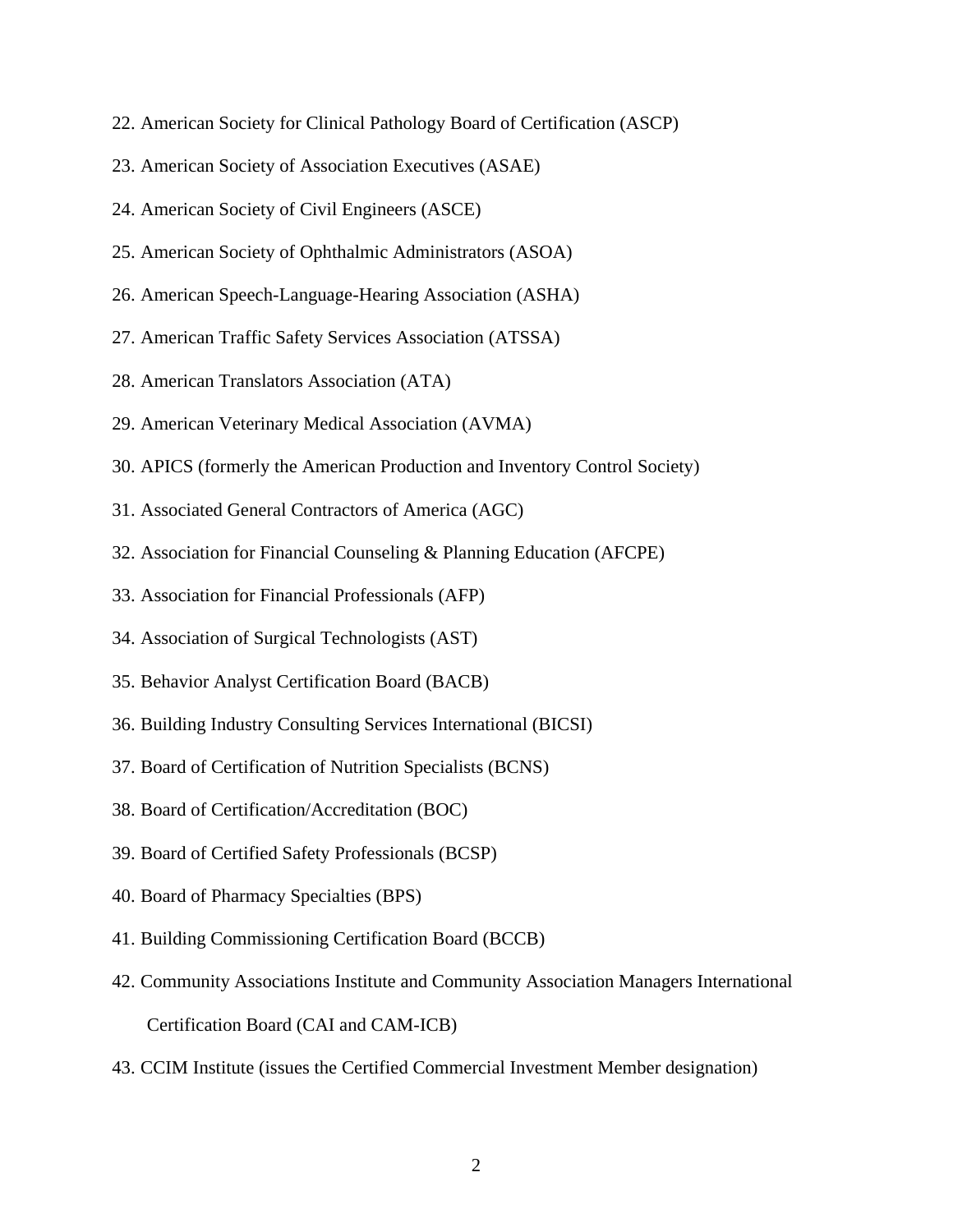- 22. American Society for Clinical Pathology Board of Certification (ASCP)
- 23. American Society of Association Executives (ASAE)
- 24. American Society of Civil Engineers (ASCE)
- 25. American Society of Ophthalmic Administrators (ASOA)
- 26. American Speech-Language-Hearing Association (ASHA)
- 27. American Traffic Safety Services Association (ATSSA)
- 28. American Translators Association (ATA)
- 29. American Veterinary Medical Association (AVMA)
- 30. APICS (formerly the American Production and Inventory Control Society)
- 31. Associated General Contractors of America (AGC)
- 32. Association for Financial Counseling & Planning Education (AFCPE)
- 33. Association for Financial Professionals (AFP)
- 34. Association of Surgical Technologists (AST)
- 35. Behavior Analyst Certification Board (BACB)
- 36. Building Industry Consulting Services International (BICSI)
- 37. Board of Certification of Nutrition Specialists (BCNS)
- 38. Board of Certification/Accreditation (BOC)
- 39. Board of Certified Safety Professionals (BCSP)
- 40. Board of Pharmacy Specialties (BPS)
- 41. Building Commissioning Certification Board (BCCB)
- 42. Community Associations Institute and Community Association Managers International Certification Board (CAI and CAM-ICB)
- 43. CCIM Institute (issues the Certified Commercial Investment Member designation)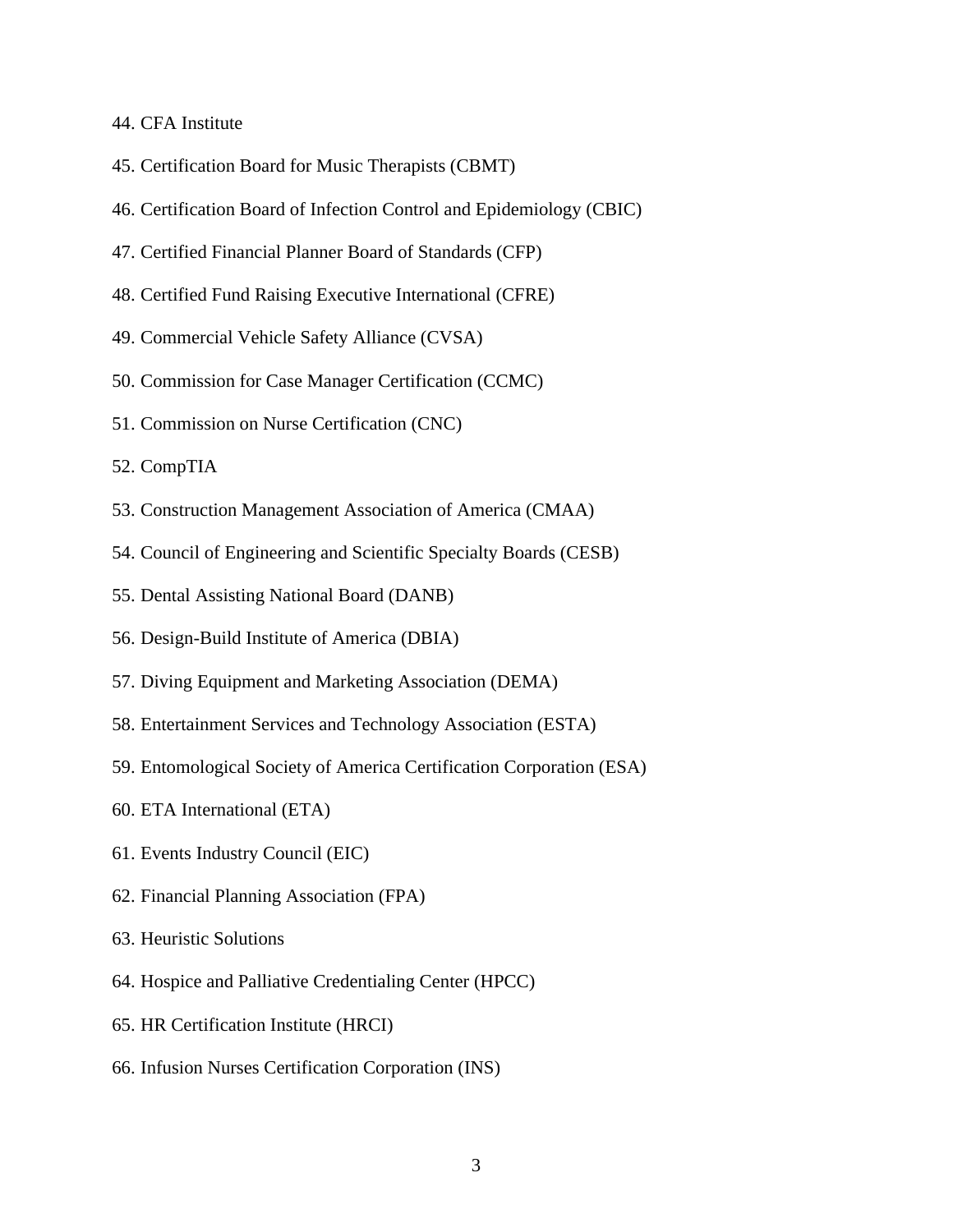- 44. CFA Institute
- 45. Certification Board for Music Therapists (CBMT)
- 46. Certification Board of Infection Control and Epidemiology (CBIC)
- 47. Certified Financial Planner Board of Standards (CFP)
- 48. Certified Fund Raising Executive International (CFRE)
- 49. Commercial Vehicle Safety Alliance (CVSA)
- 50. Commission for Case Manager Certification (CCMC)
- 51. Commission on Nurse Certification (CNC)
- 52. CompTIA
- 53. Construction Management Association of America (CMAA)
- 54. Council of Engineering and Scientific Specialty Boards (CESB)
- 55. Dental Assisting National Board (DANB)
- 56. Design-Build Institute of America (DBIA)
- 57. Diving Equipment and Marketing Association (DEMA)
- 58. Entertainment Services and Technology Association (ESTA)
- 59. Entomological Society of America Certification Corporation (ESA)
- 60. ETA International (ETA)
- 61. Events Industry Council (EIC)
- 62. Financial Planning Association (FPA)
- 63. Heuristic Solutions
- 64. Hospice and Palliative Credentialing Center (HPCC)
- 65. HR Certification Institute (HRCI)
- 66. Infusion Nurses Certification Corporation (INS)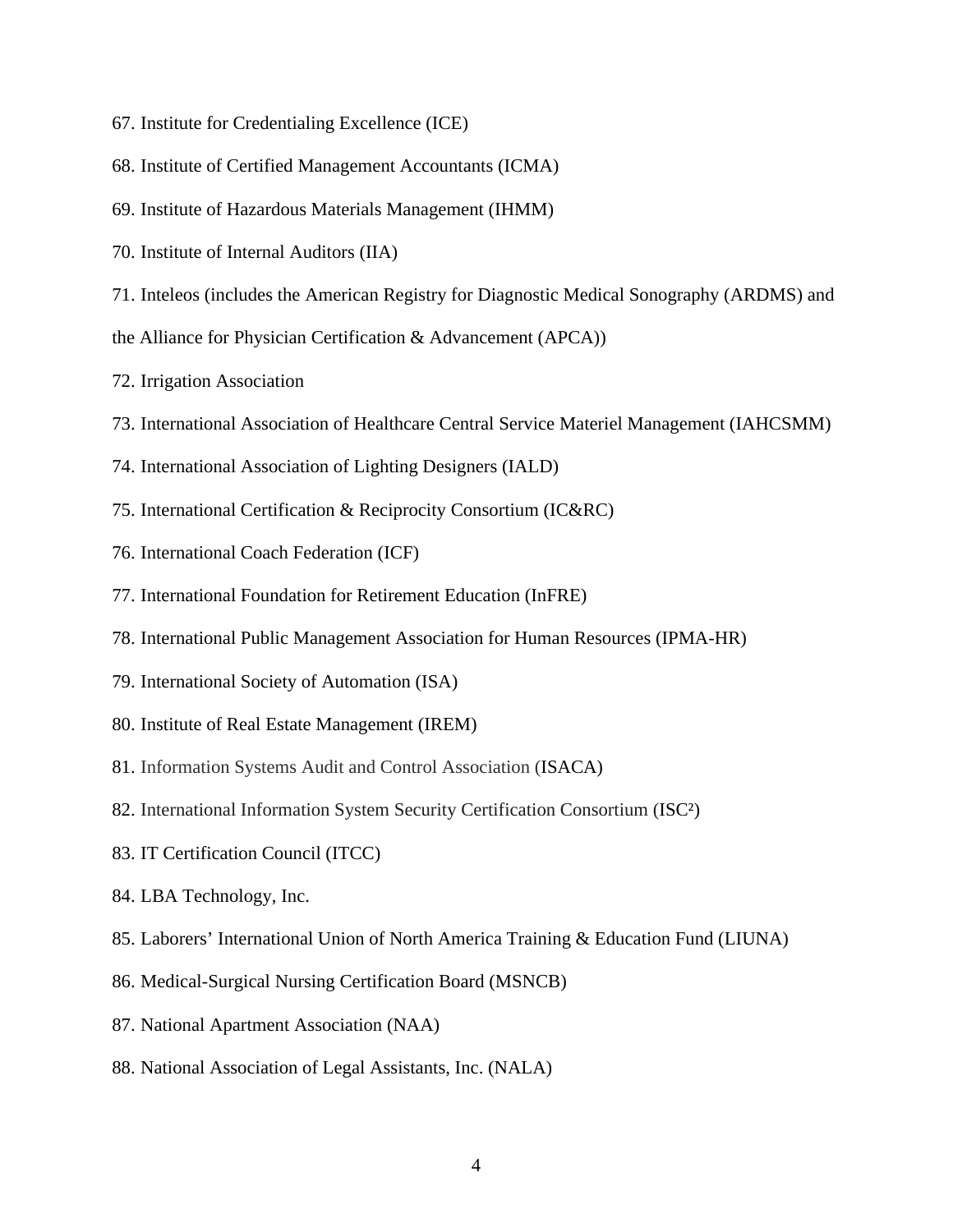- 67. Institute for Credentialing Excellence (ICE)
- 68. Institute of Certified Management Accountants (ICMA)
- 69. Institute of Hazardous Materials Management (IHMM)
- 70. Institute of Internal Auditors (IIA)
- 71. Inteleos (includes the American Registry for Diagnostic Medical Sonography (ARDMS) and
- the Alliance for Physician Certification & Advancement (APCA))
- 72. Irrigation Association
- 73. International Association of Healthcare Central Service Materiel Management (IAHCSMM)
- 74. International Association of Lighting Designers (IALD)
- 75. International Certification & Reciprocity Consortium (IC&RC)
- 76. International Coach Federation (ICF)
- 77. International Foundation for Retirement Education (InFRE)
- 78. International Public Management Association for Human Resources (IPMA-HR)
- 79. International Society of Automation (ISA)
- 80. Institute of Real Estate Management (IREM)
- 81. Information Systems Audit and Control Association (ISACA)
- 82. International Information System Security Certification Consortium (ISC²)
- 83. IT Certification Council (ITCC)
- 84. LBA Technology, Inc.
- 85. Laborers' International Union of North America Training & Education Fund (LIUNA)
- 86. Medical-Surgical Nursing Certification Board (MSNCB)
- 87. National Apartment Association (NAA)
- 88. National Association of Legal Assistants, Inc. (NALA)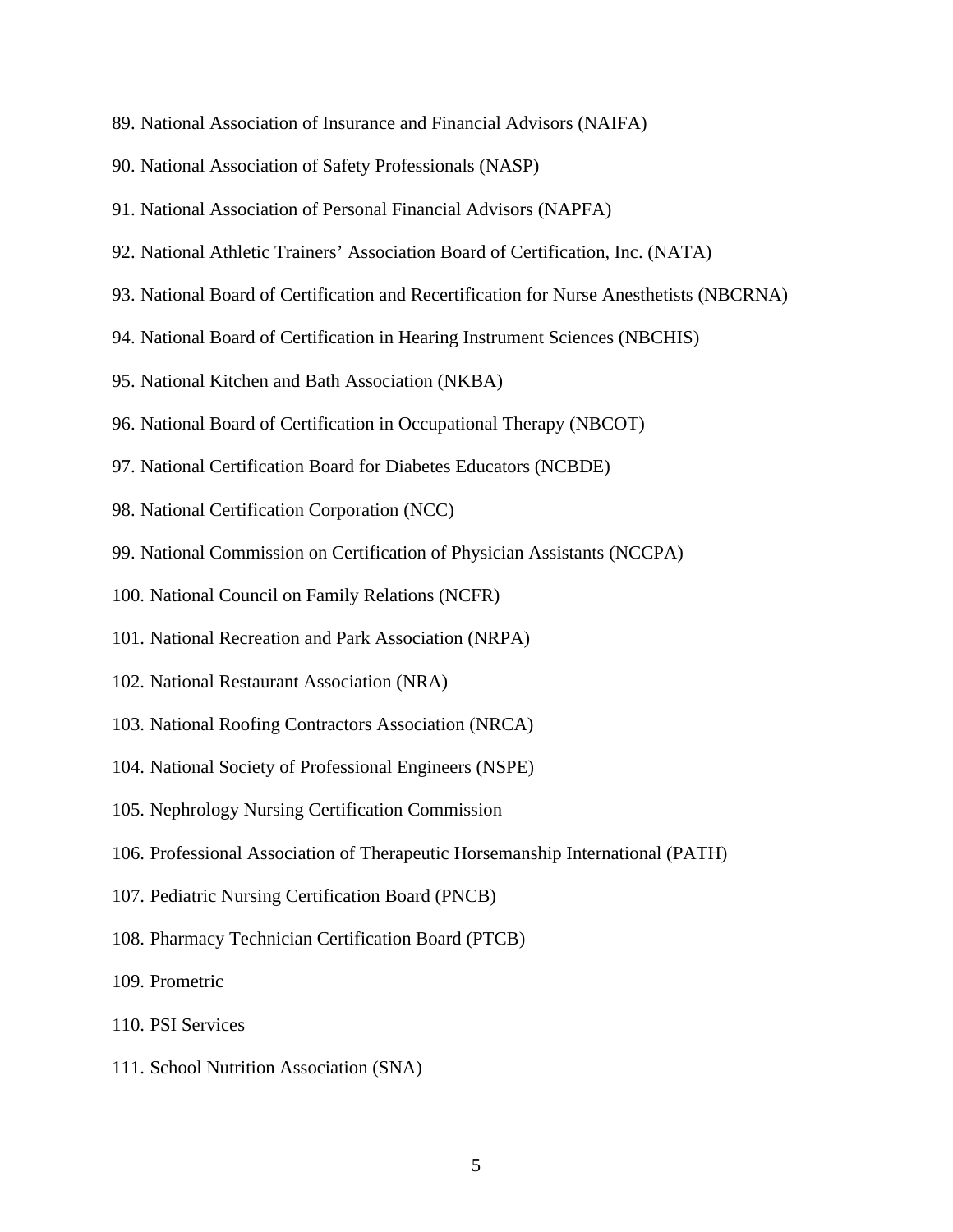- 89. National Association of Insurance and Financial Advisors (NAIFA)
- 90. National Association of Safety Professionals (NASP)
- 91. National Association of Personal Financial Advisors (NAPFA)
- 92. National Athletic Trainers' Association Board of Certification, Inc. (NATA)
- 93. National Board of Certification and Recertification for Nurse Anesthetists (NBCRNA)
- 94. National Board of Certification in Hearing Instrument Sciences (NBCHIS)
- 95. National Kitchen and Bath Association (NKBA)
- 96. National Board of Certification in Occupational Therapy (NBCOT)
- 97. National Certification Board for Diabetes Educators (NCBDE)
- 98. National Certification Corporation (NCC)
- 99. National Commission on Certification of Physician Assistants (NCCPA)
- 100. National Council on Family Relations (NCFR)
- 101. National Recreation and Park Association (NRPA)
- 102. National Restaurant Association (NRA)
- 103. National Roofing Contractors Association (NRCA)
- 104. National Society of Professional Engineers (NSPE)
- 105. Nephrology Nursing Certification Commission
- 106. Professional Association of Therapeutic Horsemanship International (PATH)
- 107. Pediatric Nursing Certification Board (PNCB)
- 108. Pharmacy Technician Certification Board (PTCB)
- 109. Prometric
- 110. PSI Services
- 111. School Nutrition Association (SNA)